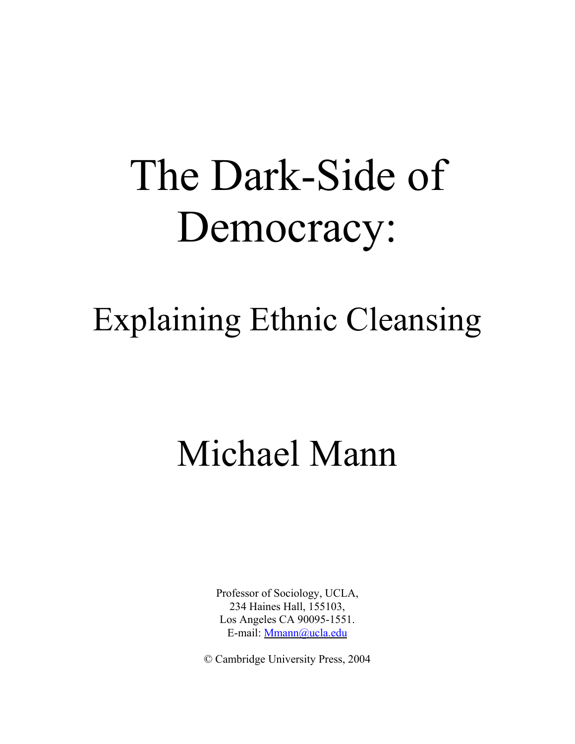# The Dark-Side of Democracy:

## Explaining Ethnic Cleansing

# Michael Mann

Professor of Sociology, UCLA, 234 Haines Hall, 155103, Los Angeles CA 90095-1551. E-mail: Mmann@ucla.edu

© Cambridge University Press, 2004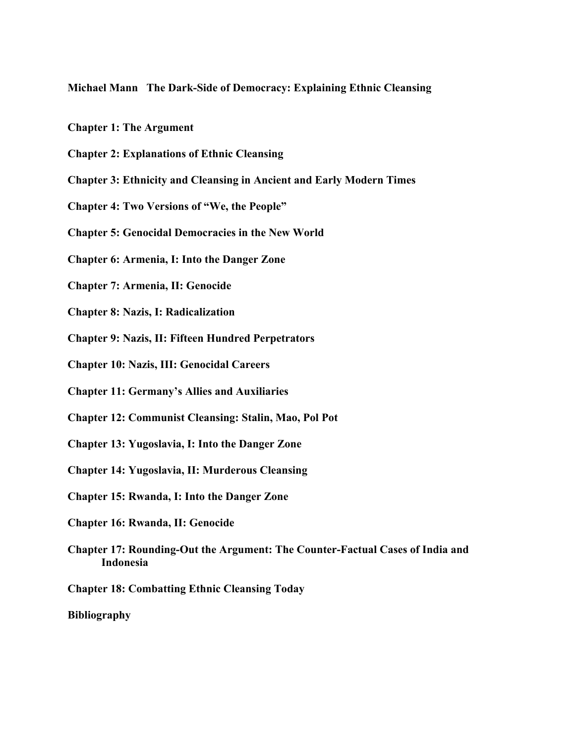**Michael Mann The Dark-Side of Democracy: Explaining Ethnic Cleansing**

- **Chapter 1: The Argument**
- **Chapter 2: Explanations of Ethnic Cleansing**
- **Chapter 3: Ethnicity and Cleansing in Ancient and Early Modern Times**
- **Chapter 4: Two Versions of "We, the People"**
- **Chapter 5: Genocidal Democracies in the New World**
- **Chapter 6: Armenia, I: Into the Danger Zone**
- **Chapter 7: Armenia, II: Genocide**
- **Chapter 8: Nazis, I: Radicalization**
- **Chapter 9: Nazis, II: Fifteen Hundred Perpetrators**
- **Chapter 10: Nazis, III: Genocidal Careers**
- **Chapter 11: Germany's Allies and Auxiliaries**
- **Chapter 12: Communist Cleansing: Stalin, Mao, Pol Pot**
- **Chapter 13: Yugoslavia, I: Into the Danger Zone**
- **Chapter 14: Yugoslavia, II: Murderous Cleansing**
- **Chapter 15: Rwanda, I: Into the Danger Zone**
- **Chapter 16: Rwanda, II: Genocide**
- **Chapter 17: Rounding-Out the Argument: The Counter-Factual Cases of India and Indonesia**
- **Chapter 18: Combatting Ethnic Cleansing Today**

**Bibliography**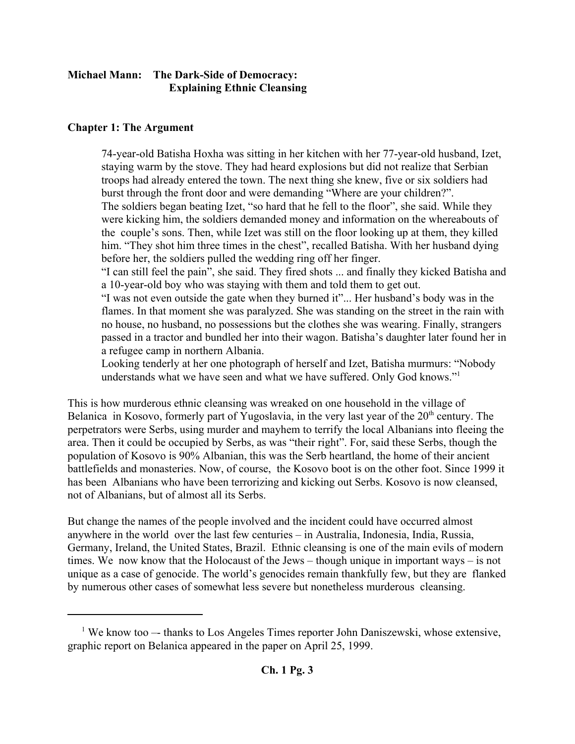#### **Michael Mann: The Dark-Side of Democracy: Explaining Ethnic Cleansing**

#### **Chapter 1: The Argument**

74-year-old Batisha Hoxha was sitting in her kitchen with her 77-year-old husband, Izet, staying warm by the stove. They had heard explosions but did not realize that Serbian troops had already entered the town. The next thing she knew, five or six soldiers had burst through the front door and were demanding "Where are your children?". The soldiers began beating Izet, "so hard that he fell to the floor", she said. While they were kicking him, the soldiers demanded money and information on the whereabouts of the couple's sons. Then, while Izet was still on the floor looking up at them, they killed him. "They shot him three times in the chest", recalled Batisha. With her husband dying before her, the soldiers pulled the wedding ring off her finger.

"I can still feel the pain", she said. They fired shots ... and finally they kicked Batisha and a 10-year-old boy who was staying with them and told them to get out.

"I was not even outside the gate when they burned it"... Her husband's body was in the flames. In that moment she was paralyzed. She was standing on the street in the rain with no house, no husband, no possessions but the clothes she was wearing. Finally, strangers passed in a tractor and bundled her into their wagon. Batisha's daughter later found her in a refugee camp in northern Albania.

Looking tenderly at her one photograph of herself and Izet, Batisha murmurs: "Nobody understands what we have seen and what we have suffered. Only God knows."1

This is how murderous ethnic cleansing was wreaked on one household in the village of Belanica in Kosovo, formerly part of Yugoslavia, in the very last year of the  $20<sup>th</sup>$  century. The perpetrators were Serbs, using murder and mayhem to terrify the local Albanians into fleeing the area. Then it could be occupied by Serbs, as was "their right". For, said these Serbs, though the population of Kosovo is 90% Albanian, this was the Serb heartland, the home of their ancient battlefields and monasteries. Now, of course, the Kosovo boot is on the other foot. Since 1999 it has been Albanians who have been terrorizing and kicking out Serbs. Kosovo is now cleansed, not of Albanians, but of almost all its Serbs.

But change the names of the people involved and the incident could have occurred almost anywhere in the world over the last few centuries – in Australia, Indonesia, India, Russia, Germany, Ireland, the United States, Brazil. Ethnic cleansing is one of the main evils of modern times. We now know that the Holocaust of the Jews – though unique in important ways – is not unique as a case of genocide. The world's genocides remain thankfully few, but they are flanked by numerous other cases of somewhat less severe but nonetheless murderous cleansing.

<sup>&</sup>lt;sup>1</sup> We know too -- thanks to Los Angeles Times reporter John Daniszewski, whose extensive, graphic report on Belanica appeared in the paper on April 25, 1999.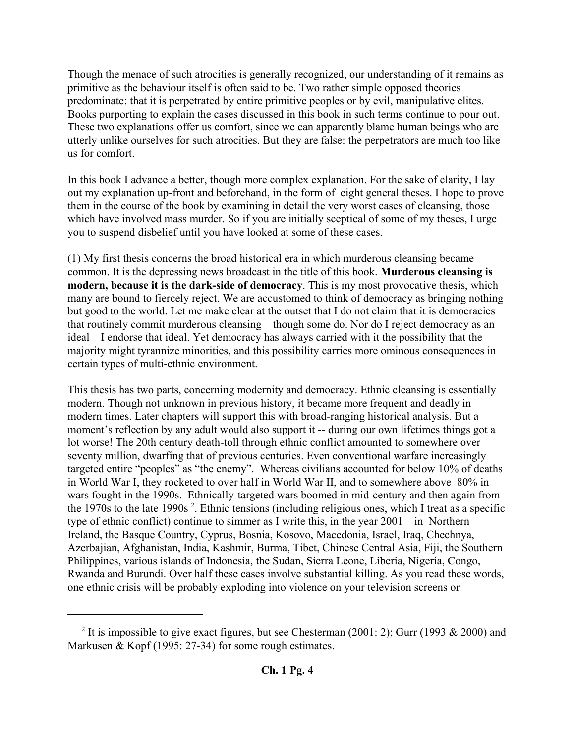Though the menace of such atrocities is generally recognized, our understanding of it remains as primitive as the behaviour itself is often said to be. Two rather simple opposed theories predominate: that it is perpetrated by entire primitive peoples or by evil, manipulative elites. Books purporting to explain the cases discussed in this book in such terms continue to pour out. These two explanations offer us comfort, since we can apparently blame human beings who are utterly unlike ourselves for such atrocities. But they are false: the perpetrators are much too like us for comfort.

In this book I advance a better, though more complex explanation. For the sake of clarity, I lay out my explanation up-front and beforehand, in the form of eight general theses. I hope to prove them in the course of the book by examining in detail the very worst cases of cleansing, those which have involved mass murder. So if you are initially sceptical of some of my theses, I urge you to suspend disbelief until you have looked at some of these cases.

(1) My first thesis concerns the broad historical era in which murderous cleansing became common. It is the depressing news broadcast in the title of this book. **Murderous cleansing is modern, because it is the dark-side of democracy**. This is my most provocative thesis, which many are bound to fiercely reject. We are accustomed to think of democracy as bringing nothing but good to the world. Let me make clear at the outset that I do not claim that it is democracies that routinely commit murderous cleansing – though some do. Nor do I reject democracy as an ideal – I endorse that ideal. Yet democracy has always carried with it the possibility that the majority might tyrannize minorities, and this possibility carries more ominous consequences in certain types of multi-ethnic environment.

This thesis has two parts, concerning modernity and democracy. Ethnic cleansing is essentially modern. Though not unknown in previous history, it became more frequent and deadly in modern times. Later chapters will support this with broad-ranging historical analysis. But a moment's reflection by any adult would also support it -- during our own lifetimes things got a lot worse! The 20th century death-toll through ethnic conflict amounted to somewhere over seventy million, dwarfing that of previous centuries. Even conventional warfare increasingly targeted entire "peoples" as "the enemy". Whereas civilians accounted for below 10% of deaths in World War I, they rocketed to over half in World War II, and to somewhere above 80% in wars fought in the 1990s. Ethnically-targeted wars boomed in mid-century and then again from the 1970s to the late 1990s<sup>2</sup>. Ethnic tensions (including religious ones, which I treat as a specific type of ethnic conflict) continue to simmer as I write this, in the year 2001 – in Northern Ireland, the Basque Country, Cyprus, Bosnia, Kosovo, Macedonia, Israel, Iraq, Chechnya, Azerbajian, Afghanistan, India, Kashmir, Burma, Tibet, Chinese Central Asia, Fiji, the Southern Philippines, various islands of Indonesia, the Sudan, Sierra Leone, Liberia, Nigeria, Congo, Rwanda and Burundi. Over half these cases involve substantial killing. As you read these words, one ethnic crisis will be probably exploding into violence on your television screens or

<sup>&</sup>lt;sup>2</sup> It is impossible to give exact figures, but see Chesterman (2001: 2); Gurr (1993 & 2000) and Markusen & Kopf (1995: 27-34) for some rough estimates.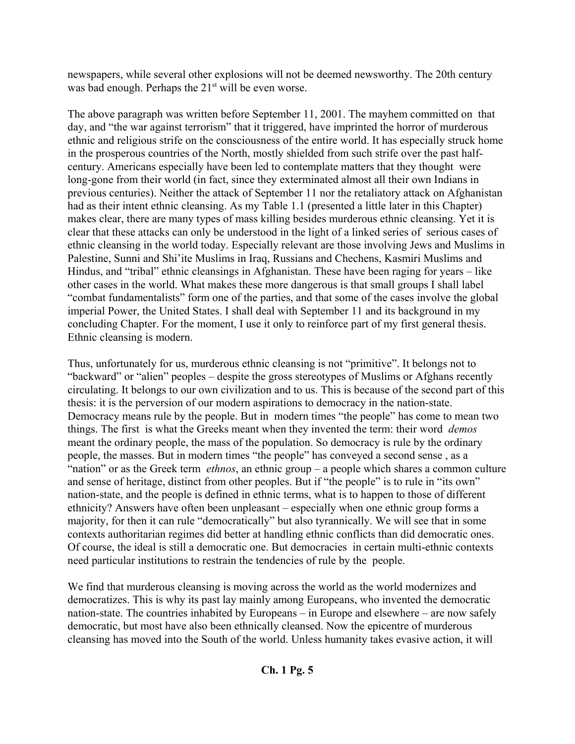newspapers, while several other explosions will not be deemed newsworthy. The 20th century was bad enough. Perhaps the 21<sup>st</sup> will be even worse.

The above paragraph was written before September 11, 2001. The mayhem committed on that day, and "the war against terrorism" that it triggered, have imprinted the horror of murderous ethnic and religious strife on the consciousness of the entire world. It has especially struck home in the prosperous countries of the North, mostly shielded from such strife over the past halfcentury. Americans especially have been led to contemplate matters that they thought were long-gone from their world (in fact, since they exterminated almost all their own Indians in previous centuries). Neither the attack of September 11 nor the retaliatory attack on Afghanistan had as their intent ethnic cleansing. As my Table 1.1 (presented a little later in this Chapter) makes clear, there are many types of mass killing besides murderous ethnic cleansing. Yet it is clear that these attacks can only be understood in the light of a linked series of serious cases of ethnic cleansing in the world today. Especially relevant are those involving Jews and Muslims in Palestine, Sunni and Shi'ite Muslims in Iraq, Russians and Chechens, Kasmiri Muslims and Hindus, and "tribal" ethnic cleansings in Afghanistan. These have been raging for years – like other cases in the world. What makes these more dangerous is that small groups I shall label "combat fundamentalists" form one of the parties, and that some of the cases involve the global imperial Power, the United States. I shall deal with September 11 and its background in my concluding Chapter. For the moment, I use it only to reinforce part of my first general thesis. Ethnic cleansing is modern.

Thus, unfortunately for us, murderous ethnic cleansing is not "primitive". It belongs not to "backward" or "alien" peoples – despite the gross stereotypes of Muslims or Afghans recently circulating. It belongs to our own civilization and to us. This is because of the second part of this thesis: it is the perversion of our modern aspirations to democracy in the nation-state. Democracy means rule by the people. But in modern times "the people" has come to mean two things. The first is what the Greeks meant when they invented the term: their word *demos* meant the ordinary people, the mass of the population. So democracy is rule by the ordinary people, the masses. But in modern times "the people" has conveyed a second sense , as a "nation" or as the Greek term *ethnos*, an ethnic group – a people which shares a common culture and sense of heritage, distinct from other peoples. But if "the people" is to rule in "its own" nation-state, and the people is defined in ethnic terms, what is to happen to those of different ethnicity? Answers have often been unpleasant – especially when one ethnic group forms a majority, for then it can rule "democratically" but also tyrannically. We will see that in some contexts authoritarian regimes did better at handling ethnic conflicts than did democratic ones. Of course, the ideal is still a democratic one. But democracies in certain multi-ethnic contexts need particular institutions to restrain the tendencies of rule by the people.

We find that murderous cleansing is moving across the world as the world modernizes and democratizes. This is why its past lay mainly among Europeans, who invented the democratic nation-state. The countries inhabited by Europeans – in Europe and elsewhere – are now safely democratic, but most have also been ethnically cleansed. Now the epicentre of murderous cleansing has moved into the South of the world. Unless humanity takes evasive action, it will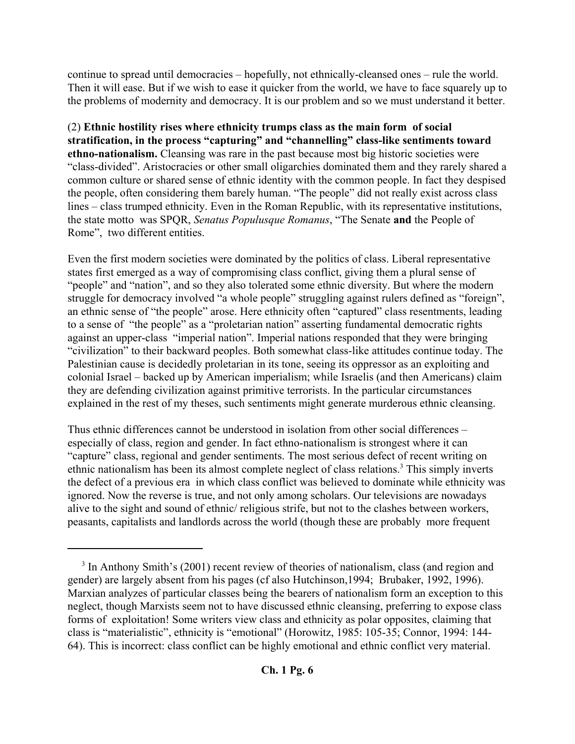continue to spread until democracies – hopefully, not ethnically-cleansed ones – rule the world. Then it will ease. But if we wish to ease it quicker from the world, we have to face squarely up to the problems of modernity and democracy. It is our problem and so we must understand it better.

(2) **Ethnic hostility rises where ethnicity trumps class as the main form of social stratification, in the process "capturing" and "channelling" class-like sentiments toward ethno-nationalism.** Cleansing was rare in the past because most big historic societies were "class-divided". Aristocracies or other small oligarchies dominated them and they rarely shared a common culture or shared sense of ethnic identity with the common people. In fact they despised the people, often considering them barely human. "The people" did not really exist across class lines – class trumped ethnicity. Even in the Roman Republic, with its representative institutions, the state motto was SPQR, *Senatus Populusque Romanus*, "The Senate **and** the People of Rome", two different entities.

Even the first modern societies were dominated by the politics of class. Liberal representative states first emerged as a way of compromising class conflict, giving them a plural sense of "people" and "nation", and so they also tolerated some ethnic diversity. But where the modern struggle for democracy involved "a whole people" struggling against rulers defined as "foreign", an ethnic sense of "the people" arose. Here ethnicity often "captured" class resentments, leading to a sense of "the people" as a "proletarian nation" asserting fundamental democratic rights against an upper-class "imperial nation". Imperial nations responded that they were bringing "civilization" to their backward peoples. Both somewhat class-like attitudes continue today. The Palestinian cause is decidedly proletarian in its tone, seeing its oppressor as an exploiting and colonial Israel – backed up by American imperialism; while Israelis (and then Americans) claim they are defending civilization against primitive terrorists. In the particular circumstances explained in the rest of my theses, such sentiments might generate murderous ethnic cleansing.

Thus ethnic differences cannot be understood in isolation from other social differences – especially of class, region and gender. In fact ethno-nationalism is strongest where it can "capture" class, regional and gender sentiments. The most serious defect of recent writing on ethnic nationalism has been its almost complete neglect of class relations.<sup>3</sup> This simply inverts the defect of a previous era in which class conflict was believed to dominate while ethnicity was ignored. Now the reverse is true, and not only among scholars. Our televisions are nowadays alive to the sight and sound of ethnic/ religious strife, but not to the clashes between workers, peasants, capitalists and landlords across the world (though these are probably more frequent

<sup>&</sup>lt;sup>3</sup> In Anthony Smith's (2001) recent review of theories of nationalism, class (and region and gender) are largely absent from his pages (cf also Hutchinson,1994; Brubaker, 1992, 1996). Marxian analyzes of particular classes being the bearers of nationalism form an exception to this neglect, though Marxists seem not to have discussed ethnic cleansing, preferring to expose class forms of exploitation! Some writers view class and ethnicity as polar opposites, claiming that class is "materialistic", ethnicity is "emotional" (Horowitz, 1985: 105-35; Connor, 1994: 144- 64). This is incorrect: class conflict can be highly emotional and ethnic conflict very material.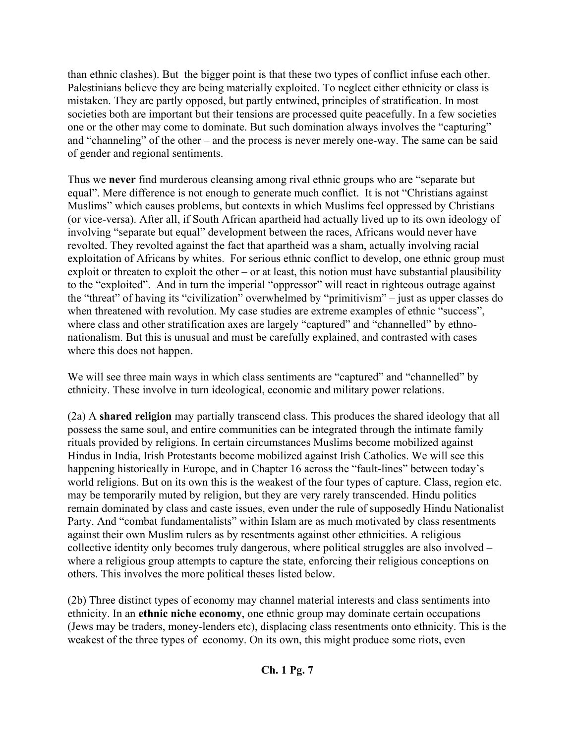than ethnic clashes). But the bigger point is that these two types of conflict infuse each other. Palestinians believe they are being materially exploited. To neglect either ethnicity or class is mistaken. They are partly opposed, but partly entwined, principles of stratification. In most societies both are important but their tensions are processed quite peacefully. In a few societies one or the other may come to dominate. But such domination always involves the "capturing" and "channeling" of the other – and the process is never merely one-way. The same can be said of gender and regional sentiments.

Thus we **never** find murderous cleansing among rival ethnic groups who are "separate but equal". Mere difference is not enough to generate much conflict. It is not "Christians against Muslims" which causes problems, but contexts in which Muslims feel oppressed by Christians (or vice-versa). After all, if South African apartheid had actually lived up to its own ideology of involving "separate but equal" development between the races, Africans would never have revolted. They revolted against the fact that apartheid was a sham, actually involving racial exploitation of Africans by whites. For serious ethnic conflict to develop, one ethnic group must exploit or threaten to exploit the other – or at least, this notion must have substantial plausibility to the "exploited". And in turn the imperial "oppressor" will react in righteous outrage against the "threat" of having its "civilization" overwhelmed by "primitivism" – just as upper classes do when threatened with revolution. My case studies are extreme examples of ethnic "success", where class and other stratification axes are largely "captured" and "channelled" by ethnonationalism. But this is unusual and must be carefully explained, and contrasted with cases where this does not happen.

We will see three main ways in which class sentiments are "captured" and "channelled" by ethnicity. These involve in turn ideological, economic and military power relations.

(2a) A **shared religion** may partially transcend class. This produces the shared ideology that all possess the same soul, and entire communities can be integrated through the intimate family rituals provided by religions. In certain circumstances Muslims become mobilized against Hindus in India, Irish Protestants become mobilized against Irish Catholics. We will see this happening historically in Europe, and in Chapter 16 across the "fault-lines" between today's world religions. But on its own this is the weakest of the four types of capture. Class, region etc. may be temporarily muted by religion, but they are very rarely transcended. Hindu politics remain dominated by class and caste issues, even under the rule of supposedly Hindu Nationalist Party. And "combat fundamentalists" within Islam are as much motivated by class resentments against their own Muslim rulers as by resentments against other ethnicities. A religious collective identity only becomes truly dangerous, where political struggles are also involved – where a religious group attempts to capture the state, enforcing their religious conceptions on others. This involves the more political theses listed below.

(2b) Three distinct types of economy may channel material interests and class sentiments into ethnicity. In an **ethnic niche economy**, one ethnic group may dominate certain occupations (Jews may be traders, money-lenders etc), displacing class resentments onto ethnicity. This is the weakest of the three types of economy. On its own, this might produce some riots, even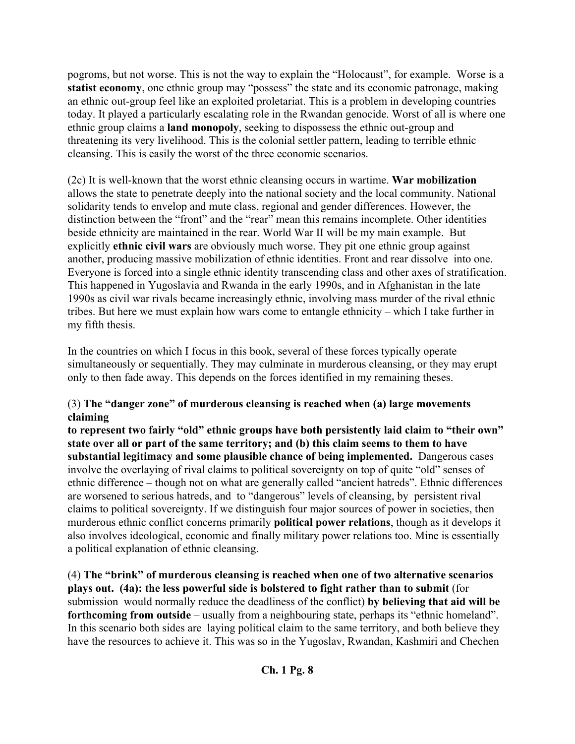pogroms, but not worse. This is not the way to explain the "Holocaust", for example. Worse is a statist economy, one ethnic group may "possess" the state and its economic patronage, making an ethnic out-group feel like an exploited proletariat. This is a problem in developing countries today. It played a particularly escalating role in the Rwandan genocide. Worst of all is where one ethnic group claims a **land monopoly**, seeking to dispossess the ethnic out-group and threatening its very livelihood. This is the colonial settler pattern, leading to terrible ethnic cleansing. This is easily the worst of the three economic scenarios.

(2c) It is well-known that the worst ethnic cleansing occurs in wartime. **War mobilization** allows the state to penetrate deeply into the national society and the local community. National solidarity tends to envelop and mute class, regional and gender differences. However, the distinction between the "front" and the "rear" mean this remains incomplete. Other identities beside ethnicity are maintained in the rear. World War II will be my main example. But explicitly **ethnic civil wars** are obviously much worse. They pit one ethnic group against another, producing massive mobilization of ethnic identities. Front and rear dissolve into one. Everyone is forced into a single ethnic identity transcending class and other axes of stratification. This happened in Yugoslavia and Rwanda in the early 1990s, and in Afghanistan in the late 1990s as civil war rivals became increasingly ethnic, involving mass murder of the rival ethnic tribes. But here we must explain how wars come to entangle ethnicity – which I take further in my fifth thesis.

In the countries on which I focus in this book, several of these forces typically operate simultaneously or sequentially. They may culminate in murderous cleansing, or they may erupt only to then fade away. This depends on the forces identified in my remaining theses.

#### (3) **The "danger zone" of murderous cleansing is reached when (a) large movements claiming**

**to represent two fairly "old" ethnic groups have both persistently laid claim to "their own" state over all or part of the same territory; and (b) this claim seems to them to have substantial legitimacy and some plausible chance of being implemented.** Dangerous cases involve the overlaying of rival claims to political sovereignty on top of quite "old" senses of ethnic difference – though not on what are generally called "ancient hatreds". Ethnic differences are worsened to serious hatreds, and to "dangerous" levels of cleansing, by persistent rival claims to political sovereignty. If we distinguish four major sources of power in societies, then murderous ethnic conflict concerns primarily **political power relations**, though as it develops it also involves ideological, economic and finally military power relations too. Mine is essentially a political explanation of ethnic cleansing.

(4) **The "brink" of murderous cleansing is reached when one of two alternative scenarios plays out. (4a): the less powerful side is bolstered to fight rather than to submit** (for submission would normally reduce the deadliness of the conflict) **by believing that aid will be forthcoming from outside** – usually from a neighbouring state, perhaps its "ethnic homeland". In this scenario both sides are laying political claim to the same territory, and both believe they have the resources to achieve it. This was so in the Yugoslav, Rwandan, Kashmiri and Chechen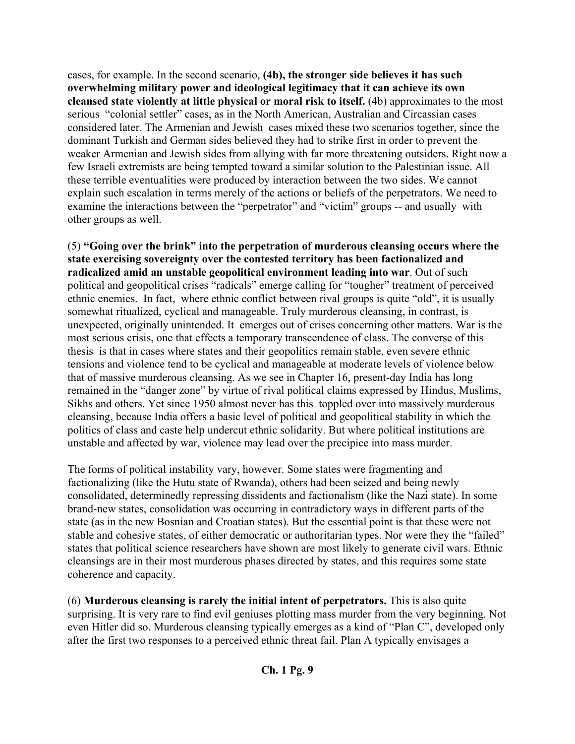cases, for example. In the second scenario, **(4b), the stronger side believes it has such overwhelming military power and ideological legitimacy that it can achieve its own cleansed state violently at little physical or moral risk to itself.** (4b) approximates to the most serious "colonial settler" cases, as in the North American, Australian and Circassian cases considered later. The Armenian and Jewish cases mixed these two scenarios together, since the dominant Turkish and German sides believed they had to strike first in order to prevent the weaker Armenian and Jewish sides from allying with far more threatening outsiders. Right now a few Israeli extremists are being tempted toward a similar solution to the Palestinian issue. All these terrible eventualities were produced by interaction between the two sides. We cannot explain such escalation in terms merely of the actions or beliefs of the perpetrators. We need to examine the interactions between the "perpetrator" and "victim" groups -- and usually with other groups as well.

(5) **"Going over the brink" into the perpetration of murderous cleansing occurs where the state exercising sovereignty over the contested territory has been factionalized and radicalized amid an unstable geopolitical environment leading into war**. Out of such political and geopolitical crises "radicals" emerge calling for "tougher" treatment of perceived ethnic enemies. In fact, where ethnic conflict between rival groups is quite "old", it is usually somewhat ritualized, cyclical and manageable. Truly murderous cleansing, in contrast, is unexpected, originally unintended. It emerges out of crises concerning other matters. War is the most serious crisis, one that effects a temporary transcendence of class. The converse of this thesis is that in cases where states and their geopolitics remain stable, even severe ethnic tensions and violence tend to be cyclical and manageable at moderate levels of violence below that of massive murderous cleansing. As we see in Chapter 16, present-day India has long remained in the "danger zone" by virtue of rival political claims expressed by Hindus, Muslims, Sikhs and others. Yet since 1950 almost never has this toppled over into massively murderous cleansing, because India offers a basic level of political and geopolitical stability in which the politics of class and caste help undercut ethnic solidarity. But where political institutions are unstable and affected by war, violence may lead over the precipice into mass murder.

The forms of political instability vary, however. Some states were fragmenting and factionalizing (like the Hutu state of Rwanda), others had been seized and being newly consolidated, determinedly repressing dissidents and factionalism (like the Nazi state). In some brand-new states, consolidation was occurring in contradictory ways in different parts of the state (as in the new Bosnian and Croatian states). But the essential point is that these were not stable and cohesive states, of either democratic or authoritarian types. Nor were they the "failed" states that political science researchers have shown are most likely to generate civil wars. Ethnic cleansings are in their most murderous phases directed by states, and this requires some state coherence and capacity.

(6) **Murderous cleansing is rarely the initial intent of perpetrators.** This is also quite surprising. It is very rare to find evil geniuses plotting mass murder from the very beginning. Not even Hitler did so. Murderous cleansing typically emerges as a kind of "Plan C", developed only after the first two responses to a perceived ethnic threat fail. Plan A typically envisages a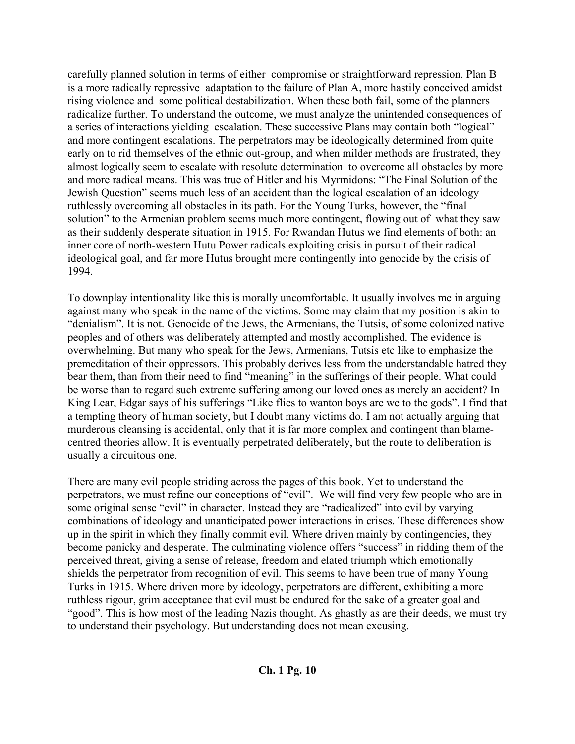carefully planned solution in terms of either compromise or straightforward repression. Plan B is a more radically repressive adaptation to the failure of Plan A, more hastily conceived amidst rising violence and some political destabilization. When these both fail, some of the planners radicalize further. To understand the outcome, we must analyze the unintended consequences of a series of interactions yielding escalation. These successive Plans may contain both "logical" and more contingent escalations. The perpetrators may be ideologically determined from quite early on to rid themselves of the ethnic out-group, and when milder methods are frustrated, they almost logically seem to escalate with resolute determination to overcome all obstacles by more and more radical means. This was true of Hitler and his Myrmidons: "The Final Solution of the Jewish Question" seems much less of an accident than the logical escalation of an ideology ruthlessly overcoming all obstacles in its path. For the Young Turks, however, the "final solution" to the Armenian problem seems much more contingent, flowing out of what they saw as their suddenly desperate situation in 1915. For Rwandan Hutus we find elements of both: an inner core of north-western Hutu Power radicals exploiting crisis in pursuit of their radical ideological goal, and far more Hutus brought more contingently into genocide by the crisis of 1994.

To downplay intentionality like this is morally uncomfortable. It usually involves me in arguing against many who speak in the name of the victims. Some may claim that my position is akin to "denialism". It is not. Genocide of the Jews, the Armenians, the Tutsis, of some colonized native peoples and of others was deliberately attempted and mostly accomplished. The evidence is overwhelming. But many who speak for the Jews, Armenians, Tutsis etc like to emphasize the premeditation of their oppressors. This probably derives less from the understandable hatred they bear them, than from their need to find "meaning" in the sufferings of their people. What could be worse than to regard such extreme suffering among our loved ones as merely an accident? In King Lear, Edgar says of his sufferings "Like flies to wanton boys are we to the gods". I find that a tempting theory of human society, but I doubt many victims do. I am not actually arguing that murderous cleansing is accidental, only that it is far more complex and contingent than blamecentred theories allow. It is eventually perpetrated deliberately, but the route to deliberation is usually a circuitous one.

There are many evil people striding across the pages of this book. Yet to understand the perpetrators, we must refine our conceptions of "evil". We will find very few people who are in some original sense "evil" in character. Instead they are "radicalized" into evil by varying combinations of ideology and unanticipated power interactions in crises. These differences show up in the spirit in which they finally commit evil. Where driven mainly by contingencies, they become panicky and desperate. The culminating violence offers "success" in ridding them of the perceived threat, giving a sense of release, freedom and elated triumph which emotionally shields the perpetrator from recognition of evil. This seems to have been true of many Young Turks in 1915. Where driven more by ideology, perpetrators are different, exhibiting a more ruthless rigour, grim acceptance that evil must be endured for the sake of a greater goal and "good". This is how most of the leading Nazis thought. As ghastly as are their deeds, we must try to understand their psychology. But understanding does not mean excusing.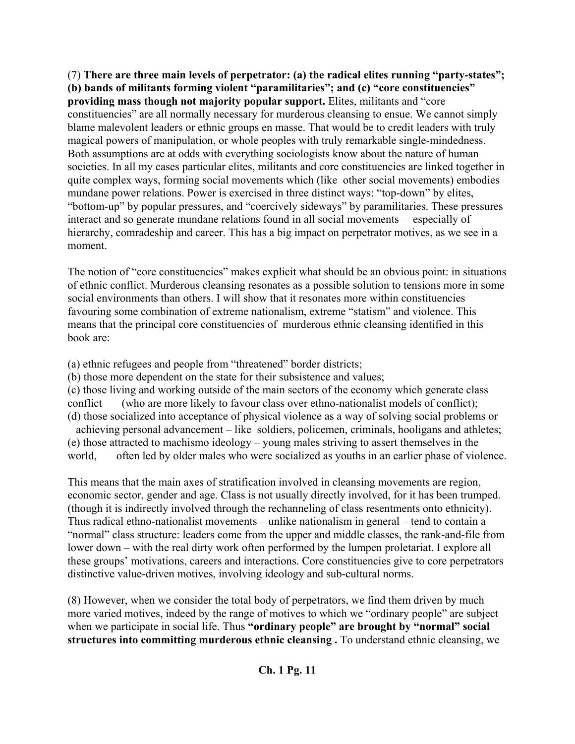(7) **There are three main levels of perpetrator: (a) the radical elites running "party-states"; (b) bands of militants forming violent "paramilitaries"; and (c) "core constituencies" providing mass though not majority popular support.** Elites, militants and "core" constituencies" are all normally necessary for murderous cleansing to ensue. We cannot simply blame malevolent leaders or ethnic groups en masse. That would be to credit leaders with truly magical powers of manipulation, or whole peoples with truly remarkable single-mindedness. Both assumptions are at odds with everything sociologists know about the nature of human societies. In all my cases particular elites, militants and core constituencies are linked together in quite complex ways, forming social movements which (like other social movements) embodies mundane power relations. Power is exercised in three distinct ways: "top-down" by elites, "bottom-up" by popular pressures, and "coercively sideways" by paramilitaries. These pressures interact and so generate mundane relations found in all social movements – especially of hierarchy, comradeship and career. This has a big impact on perpetrator motives, as we see in a moment.

The notion of "core constituencies" makes explicit what should be an obvious point: in situations of ethnic conflict. Murderous cleansing resonates as a possible solution to tensions more in some social environments than others. I will show that it resonates more within constituencies favouring some combination of extreme nationalism, extreme "statism" and violence. This means that the principal core constituencies of murderous ethnic cleansing identified in this book are:

(a) ethnic refugees and people from "threatened" border districts;

(b) those more dependent on the state for their subsistence and values;

(c) those living and working outside of the main sectors of the economy which generate class conflict (who are more likely to favour class over ethno-nationalist models of conflict); (d) those socialized into acceptance of physical violence as a way of solving social problems or

 achieving personal advancement – like soldiers, policemen, criminals, hooligans and athletes; (e) those attracted to machismo ideology – young males striving to assert themselves in the world, often led by older males who were socialized as youths in an earlier phase of violence.

This means that the main axes of stratification involved in cleansing movements are region, economic sector, gender and age. Class is not usually directly involved, for it has been trumped. (though it is indirectly involved through the rechanneling of class resentments onto ethnicity). Thus radical ethno-nationalist movements – unlike nationalism in general – tend to contain a "normal" class structure: leaders come from the upper and middle classes, the rank-and-file from lower down – with the real dirty work often performed by the lumpen proletariat. I explore all these groups' motivations, careers and interactions. Core constituencies give to core perpetrators distinctive value-driven motives, involving ideology and sub-cultural norms.

(8) However, when we consider the total body of perpetrators, we find them driven by much more varied motives, indeed by the range of motives to which we "ordinary people" are subject when we participate in social life. Thus "ordinary people" are brought by "normal" social **structures into committing murderous ethnic cleansing .** To understand ethnic cleansing, we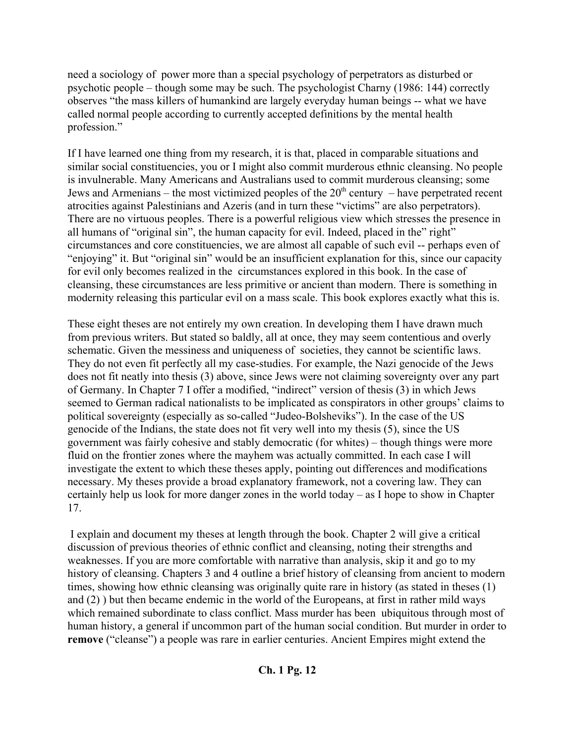need a sociology of power more than a special psychology of perpetrators as disturbed or psychotic people – though some may be such. The psychologist Charny (1986: 144) correctly observes "the mass killers of humankind are largely everyday human beings -- what we have called normal people according to currently accepted definitions by the mental health profession."

If I have learned one thing from my research, it is that, placed in comparable situations and similar social constituencies, you or I might also commit murderous ethnic cleansing. No people is invulnerable. Many Americans and Australians used to commit murderous cleansing; some Jews and Armenians – the most victimized peoples of the  $20<sup>th</sup>$  century – have perpetrated recent atrocities against Palestinians and Azeris (and in turn these "victims" are also perpetrators). There are no virtuous peoples. There is a powerful religious view which stresses the presence in all humans of "original sin", the human capacity for evil. Indeed, placed in the" right" circumstances and core constituencies, we are almost all capable of such evil -- perhaps even of "enjoying" it. But "original sin" would be an insufficient explanation for this, since our capacity for evil only becomes realized in the circumstances explored in this book. In the case of cleansing, these circumstances are less primitive or ancient than modern. There is something in modernity releasing this particular evil on a mass scale. This book explores exactly what this is.

These eight theses are not entirely my own creation. In developing them I have drawn much from previous writers. But stated so baldly, all at once, they may seem contentious and overly schematic. Given the messiness and uniqueness of societies, they cannot be scientific laws. They do not even fit perfectly all my case-studies. For example, the Nazi genocide of the Jews does not fit neatly into thesis (3) above, since Jews were not claiming sovereignty over any part of Germany. In Chapter 7 I offer a modified, "indirect" version of thesis (3) in which Jews seemed to German radical nationalists to be implicated as conspirators in other groups' claims to political sovereignty (especially as so-called "Judeo-Bolsheviks"). In the case of the US genocide of the Indians, the state does not fit very well into my thesis (5), since the US government was fairly cohesive and stably democratic (for whites) – though things were more fluid on the frontier zones where the mayhem was actually committed. In each case I will investigate the extent to which these theses apply, pointing out differences and modifications necessary. My theses provide a broad explanatory framework, not a covering law. They can certainly help us look for more danger zones in the world today – as I hope to show in Chapter 17.

 I explain and document my theses at length through the book. Chapter 2 will give a critical discussion of previous theories of ethnic conflict and cleansing, noting their strengths and weaknesses. If you are more comfortable with narrative than analysis, skip it and go to my history of cleansing. Chapters 3 and 4 outline a brief history of cleansing from ancient to modern times, showing how ethnic cleansing was originally quite rare in history (as stated in theses (1) and (2) ) but then became endemic in the world of the Europeans, at first in rather mild ways which remained subordinate to class conflict. Mass murder has been ubiquitous through most of human history, a general if uncommon part of the human social condition. But murder in order to **remove** ("cleanse") a people was rare in earlier centuries. Ancient Empires might extend the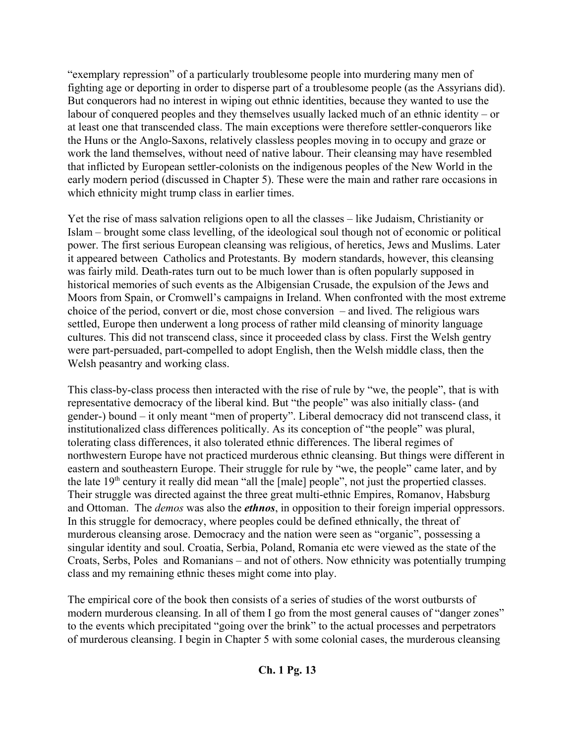"exemplary repression" of a particularly troublesome people into murdering many men of fighting age or deporting in order to disperse part of a troublesome people (as the Assyrians did). But conquerors had no interest in wiping out ethnic identities, because they wanted to use the labour of conquered peoples and they themselves usually lacked much of an ethnic identity – or at least one that transcended class. The main exceptions were therefore settler-conquerors like the Huns or the Anglo-Saxons, relatively classless peoples moving in to occupy and graze or work the land themselves, without need of native labour. Their cleansing may have resembled that inflicted by European settler-colonists on the indigenous peoples of the New World in the early modern period (discussed in Chapter 5). These were the main and rather rare occasions in which ethnicity might trump class in earlier times.

Yet the rise of mass salvation religions open to all the classes – like Judaism, Christianity or Islam – brought some class levelling, of the ideological soul though not of economic or political power. The first serious European cleansing was religious, of heretics, Jews and Muslims. Later it appeared between Catholics and Protestants. By modern standards, however, this cleansing was fairly mild. Death-rates turn out to be much lower than is often popularly supposed in historical memories of such events as the Albigensian Crusade, the expulsion of the Jews and Moors from Spain, or Cromwell's campaigns in Ireland. When confronted with the most extreme choice of the period, convert or die, most chose conversion – and lived. The religious wars settled, Europe then underwent a long process of rather mild cleansing of minority language cultures. This did not transcend class, since it proceeded class by class. First the Welsh gentry were part-persuaded, part-compelled to adopt English, then the Welsh middle class, then the Welsh peasantry and working class.

This class-by-class process then interacted with the rise of rule by "we, the people", that is with representative democracy of the liberal kind. But "the people" was also initially class- (and gender-) bound – it only meant "men of property". Liberal democracy did not transcend class, it institutionalized class differences politically. As its conception of "the people" was plural, tolerating class differences, it also tolerated ethnic differences. The liberal regimes of northwestern Europe have not practiced murderous ethnic cleansing. But things were different in eastern and southeastern Europe. Their struggle for rule by "we, the people" came later, and by the late 19<sup>th</sup> century it really did mean "all the [male] people", not just the propertied classes. Their struggle was directed against the three great multi-ethnic Empires, Romanov, Habsburg and Ottoman. The *demos* was also the *ethnos*, in opposition to their foreign imperial oppressors. In this struggle for democracy, where peoples could be defined ethnically, the threat of murderous cleansing arose. Democracy and the nation were seen as "organic", possessing a singular identity and soul. Croatia, Serbia, Poland, Romania etc were viewed as the state of the Croats, Serbs, Poles and Romanians – and not of others. Now ethnicity was potentially trumping class and my remaining ethnic theses might come into play.

The empirical core of the book then consists of a series of studies of the worst outbursts of modern murderous cleansing. In all of them I go from the most general causes of "danger zones" to the events which precipitated "going over the brink" to the actual processes and perpetrators of murderous cleansing. I begin in Chapter 5 with some colonial cases, the murderous cleansing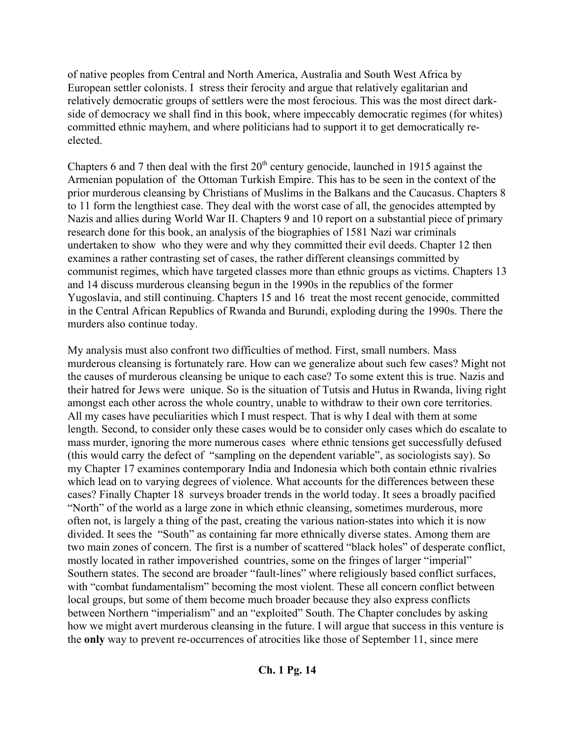of native peoples from Central and North America, Australia and South West Africa by European settler colonists. I stress their ferocity and argue that relatively egalitarian and relatively democratic groups of settlers were the most ferocious. This was the most direct darkside of democracy we shall find in this book, where impeccably democratic regimes (for whites) committed ethnic mayhem, and where politicians had to support it to get democratically reelected.

Chapters 6 and 7 then deal with the first  $20<sup>th</sup>$  century genocide, launched in 1915 against the Armenian population of the Ottoman Turkish Empire. This has to be seen in the context of the prior murderous cleansing by Christians of Muslims in the Balkans and the Caucasus. Chapters 8 to 11 form the lengthiest case. They deal with the worst case of all, the genocides attempted by Nazis and allies during World War II. Chapters 9 and 10 report on a substantial piece of primary research done for this book, an analysis of the biographies of 1581 Nazi war criminals undertaken to show who they were and why they committed their evil deeds. Chapter 12 then examines a rather contrasting set of cases, the rather different cleansings committed by communist regimes, which have targeted classes more than ethnic groups as victims. Chapters 13 and 14 discuss murderous cleansing begun in the 1990s in the republics of the former Yugoslavia, and still continuing. Chapters 15 and 16 treat the most recent genocide, committed in the Central African Republics of Rwanda and Burundi, exploding during the 1990s. There the murders also continue today.

My analysis must also confront two difficulties of method. First, small numbers. Mass murderous cleansing is fortunately rare. How can we generalize about such few cases? Might not the causes of murderous cleansing be unique to each case? To some extent this is true. Nazis and their hatred for Jews were unique. So is the situation of Tutsis and Hutus in Rwanda, living right amongst each other across the whole country, unable to withdraw to their own core territories. All my cases have peculiarities which I must respect. That is why I deal with them at some length. Second, to consider only these cases would be to consider only cases which do escalate to mass murder, ignoring the more numerous cases where ethnic tensions get successfully defused (this would carry the defect of "sampling on the dependent variable", as sociologists say). So my Chapter 17 examines contemporary India and Indonesia which both contain ethnic rivalries which lead on to varying degrees of violence. What accounts for the differences between these cases? Finally Chapter 18 surveys broader trends in the world today. It sees a broadly pacified "North" of the world as a large zone in which ethnic cleansing, sometimes murderous, more often not, is largely a thing of the past, creating the various nation-states into which it is now divided. It sees the "South" as containing far more ethnically diverse states. Among them are two main zones of concern. The first is a number of scattered "black holes" of desperate conflict, mostly located in rather impoverished countries, some on the fringes of larger "imperial" Southern states. The second are broader "fault-lines" where religiously based conflict surfaces, with "combat fundamentalism" becoming the most violent. These all concern conflict between local groups, but some of them become much broader because they also express conflicts between Northern "imperialism" and an "exploited" South. The Chapter concludes by asking how we might avert murderous cleansing in the future. I will argue that success in this venture is the **only** way to prevent re-occurrences of atrocities like those of September 11, since mere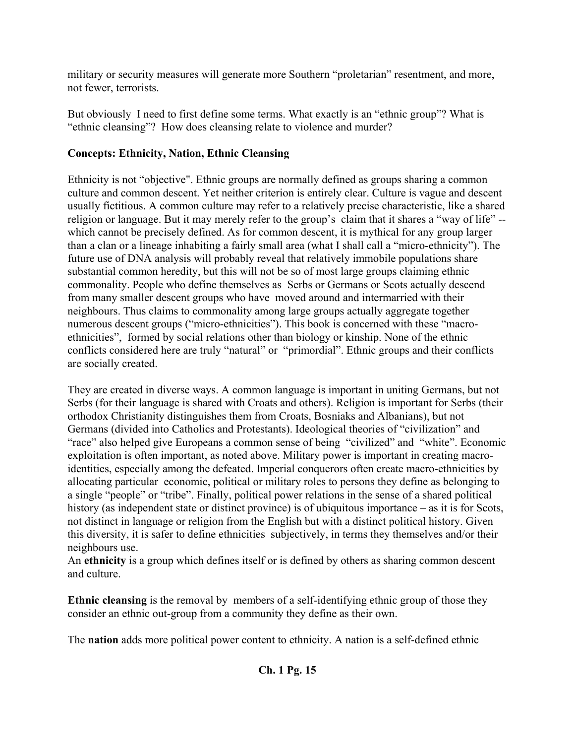military or security measures will generate more Southern "proletarian" resentment, and more, not fewer, terrorists.

But obviously I need to first define some terms. What exactly is an "ethnic group"? What is "ethnic cleansing"? How does cleansing relate to violence and murder?

### **Concepts: Ethnicity, Nation, Ethnic Cleansing**

Ethnicity is not "objective". Ethnic groups are normally defined as groups sharing a common culture and common descent. Yet neither criterion is entirely clear. Culture is vague and descent usually fictitious. A common culture may refer to a relatively precise characteristic, like a shared religion or language. But it may merely refer to the group's claim that it shares a "way of life" - which cannot be precisely defined. As for common descent, it is mythical for any group larger than a clan or a lineage inhabiting a fairly small area (what I shall call a "micro-ethnicity"). The future use of DNA analysis will probably reveal that relatively immobile populations share substantial common heredity, but this will not be so of most large groups claiming ethnic commonality. People who define themselves as Serbs or Germans or Scots actually descend from many smaller descent groups who have moved around and intermarried with their neighbours. Thus claims to commonality among large groups actually aggregate together numerous descent groups ("micro-ethnicities"). This book is concerned with these "macroethnicities", formed by social relations other than biology or kinship. None of the ethnic conflicts considered here are truly "natural" or "primordial". Ethnic groups and their conflicts are socially created.

They are created in diverse ways. A common language is important in uniting Germans, but not Serbs (for their language is shared with Croats and others). Religion is important for Serbs (their orthodox Christianity distinguishes them from Croats, Bosniaks and Albanians), but not Germans (divided into Catholics and Protestants). Ideological theories of "civilization" and "race" also helped give Europeans a common sense of being "civilized" and "white". Economic exploitation is often important, as noted above. Military power is important in creating macroidentities, especially among the defeated. Imperial conquerors often create macro-ethnicities by allocating particular economic, political or military roles to persons they define as belonging to a single "people" or "tribe". Finally, political power relations in the sense of a shared political history (as independent state or distinct province) is of ubiquitous importance – as it is for Scots, not distinct in language or religion from the English but with a distinct political history. Given this diversity, it is safer to define ethnicities subjectively, in terms they themselves and/or their neighbours use.

An **ethnicity** is a group which defines itself or is defined by others as sharing common descent and culture.

**Ethnic cleansing** is the removal by members of a self-identifying ethnic group of those they consider an ethnic out-group from a community they define as their own.

The **nation** adds more political power content to ethnicity. A nation is a self-defined ethnic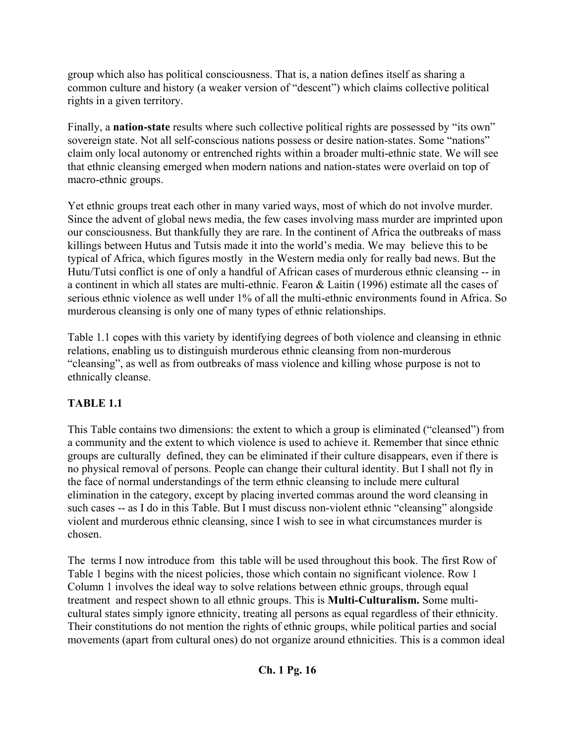group which also has political consciousness. That is, a nation defines itself as sharing a common culture and history (a weaker version of "descent") which claims collective political rights in a given territory.

Finally, a **nation-state** results where such collective political rights are possessed by "its own" sovereign state. Not all self-conscious nations possess or desire nation-states. Some "nations" claim only local autonomy or entrenched rights within a broader multi-ethnic state. We will see that ethnic cleansing emerged when modern nations and nation-states were overlaid on top of macro-ethnic groups.

Yet ethnic groups treat each other in many varied ways, most of which do not involve murder. Since the advent of global news media, the few cases involving mass murder are imprinted upon our consciousness. But thankfully they are rare. In the continent of Africa the outbreaks of mass killings between Hutus and Tutsis made it into the world's media. We may believe this to be typical of Africa, which figures mostly in the Western media only for really bad news. But the Hutu/Tutsi conflict is one of only a handful of African cases of murderous ethnic cleansing -- in a continent in which all states are multi-ethnic. Fearon & Laitin (1996) estimate all the cases of serious ethnic violence as well under 1% of all the multi-ethnic environments found in Africa. So murderous cleansing is only one of many types of ethnic relationships.

Table 1.1 copes with this variety by identifying degrees of both violence and cleansing in ethnic relations, enabling us to distinguish murderous ethnic cleansing from non-murderous "cleansing", as well as from outbreaks of mass violence and killing whose purpose is not to ethnically cleanse.

### **TABLE 1.1**

This Table contains two dimensions: the extent to which a group is eliminated ("cleansed") from a community and the extent to which violence is used to achieve it. Remember that since ethnic groups are culturally defined, they can be eliminated if their culture disappears, even if there is no physical removal of persons. People can change their cultural identity. But I shall not fly in the face of normal understandings of the term ethnic cleansing to include mere cultural elimination in the category, except by placing inverted commas around the word cleansing in such cases -- as I do in this Table. But I must discuss non-violent ethnic "cleansing" alongside violent and murderous ethnic cleansing, since I wish to see in what circumstances murder is chosen.

The terms I now introduce from this table will be used throughout this book. The first Row of Table 1 begins with the nicest policies, those which contain no significant violence. Row 1 Column 1 involves the ideal way to solve relations between ethnic groups, through equal treatment and respect shown to all ethnic groups. This is **Multi-Culturalism.** Some multicultural states simply ignore ethnicity, treating all persons as equal regardless of their ethnicity. Their constitutions do not mention the rights of ethnic groups, while political parties and social movements (apart from cultural ones) do not organize around ethnicities. This is a common ideal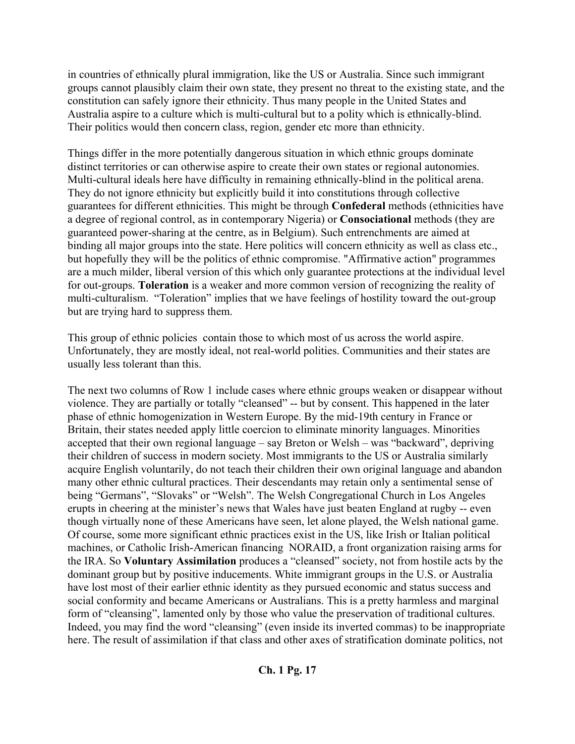in countries of ethnically plural immigration, like the US or Australia. Since such immigrant groups cannot plausibly claim their own state, they present no threat to the existing state, and the constitution can safely ignore their ethnicity. Thus many people in the United States and Australia aspire to a culture which is multi-cultural but to a polity which is ethnically-blind. Their politics would then concern class, region, gender etc more than ethnicity.

Things differ in the more potentially dangerous situation in which ethnic groups dominate distinct territories or can otherwise aspire to create their own states or regional autonomies. Multi-cultural ideals here have difficulty in remaining ethnically-blind in the political arena. They do not ignore ethnicity but explicitly build it into constitutions through collective guarantees for different ethnicities. This might be through **Confederal** methods (ethnicities have a degree of regional control, as in contemporary Nigeria) or **Consociational** methods (they are guaranteed power-sharing at the centre, as in Belgium). Such entrenchments are aimed at binding all major groups into the state. Here politics will concern ethnicity as well as class etc., but hopefully they will be the politics of ethnic compromise. "Affirmative action" programmes are a much milder, liberal version of this which only guarantee protections at the individual level for out-groups. **Toleration** is a weaker and more common version of recognizing the reality of multi-culturalism. "Toleration" implies that we have feelings of hostility toward the out-group but are trying hard to suppress them.

This group of ethnic policies contain those to which most of us across the world aspire. Unfortunately, they are mostly ideal, not real-world polities. Communities and their states are usually less tolerant than this.

The next two columns of Row 1 include cases where ethnic groups weaken or disappear without violence. They are partially or totally "cleansed" -- but by consent. This happened in the later phase of ethnic homogenization in Western Europe. By the mid-19th century in France or Britain, their states needed apply little coercion to eliminate minority languages. Minorities accepted that their own regional language – say Breton or Welsh – was "backward", depriving their children of success in modern society. Most immigrants to the US or Australia similarly acquire English voluntarily, do not teach their children their own original language and abandon many other ethnic cultural practices. Their descendants may retain only a sentimental sense of being "Germans", "Slovaks" or "Welsh". The Welsh Congregational Church in Los Angeles erupts in cheering at the minister's news that Wales have just beaten England at rugby -- even though virtually none of these Americans have seen, let alone played, the Welsh national game. Of course, some more significant ethnic practices exist in the US, like Irish or Italian political machines, or Catholic Irish-American financing NORAID, a front organization raising arms for the IRA. So **Voluntary Assimilation** produces a "cleansed" society, not from hostile acts by the dominant group but by positive inducements. White immigrant groups in the U.S. or Australia have lost most of their earlier ethnic identity as they pursued economic and status success and social conformity and became Americans or Australians. This is a pretty harmless and marginal form of "cleansing", lamented only by those who value the preservation of traditional cultures. Indeed, you may find the word "cleansing" (even inside its inverted commas) to be inappropriate here. The result of assimilation if that class and other axes of stratification dominate politics, not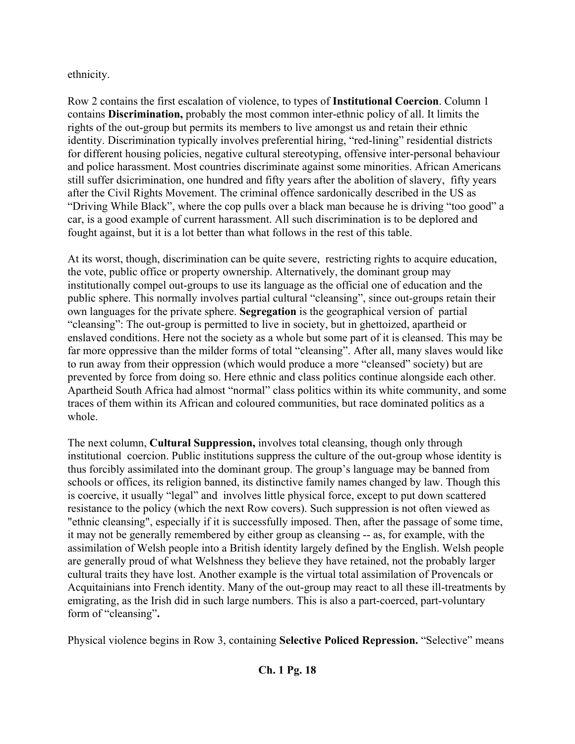ethnicity.

Row 2 contains the first escalation of violence, to types of **Institutional Coercion**. Column 1 contains **Discrimination,** probably the most common inter-ethnic policy of all. It limits the rights of the out-group but permits its members to live amongst us and retain their ethnic identity. Discrimination typically involves preferential hiring, "red-lining" residential districts for different housing policies, negative cultural stereotyping, offensive inter-personal behaviour and police harassment. Most countries discriminate against some minorities. African Americans still suffer dsicrimination, one hundred and fifty years after the abolition of slavery, fifty years after the Civil Rights Movement. The criminal offence sardonically described in the US as "Driving While Black", where the cop pulls over a black man because he is driving "too good" a car, is a good example of current harassment. All such discrimination is to be deplored and fought against, but it is a lot better than what follows in the rest of this table.

At its worst, though, discrimination can be quite severe, restricting rights to acquire education, the vote, public office or property ownership. Alternatively, the dominant group may institutionally compel out-groups to use its language as the official one of education and the public sphere. This normally involves partial cultural "cleansing", since out-groups retain their own languages for the private sphere. **Segregation** is the geographical version of partial "cleansing": The out-group is permitted to live in society, but in ghettoized, apartheid or enslaved conditions. Here not the society as a whole but some part of it is cleansed. This may be far more oppressive than the milder forms of total "cleansing". After all, many slaves would like to run away from their oppression (which would produce a more "cleansed" society) but are prevented by force from doing so. Here ethnic and class politics continue alongside each other. Apartheid South Africa had almost "normal" class politics within its white community, and some traces of them within its African and coloured communities, but race dominated politics as a whole.

The next column, **Cultural Suppression,** involves total cleansing, though only through institutional coercion. Public institutions suppress the culture of the out-group whose identity is thus forcibly assimilated into the dominant group. The group's language may be banned from schools or offices, its religion banned, its distinctive family names changed by law. Though this is coercive, it usually "legal" and involves little physical force, except to put down scattered resistance to the policy (which the next Row covers). Such suppression is not often viewed as "ethnic cleansing", especially if it is successfully imposed. Then, after the passage of some time, it may not be generally remembered by either group as cleansing -- as, for example, with the assimilation of Welsh people into a British identity largely defined by the English. Welsh people are generally proud of what Welshness they believe they have retained, not the probably larger cultural traits they have lost. Another example is the virtual total assimilation of Provencals or Acquitainians into French identity. Many of the out-group may react to all these ill-treatments by emigrating, as the Irish did in such large numbers. This is also a part-coerced, part-voluntary form of "cleansing"**.**

Physical violence begins in Row 3, containing **Selective Policed Repression.** "Selective" means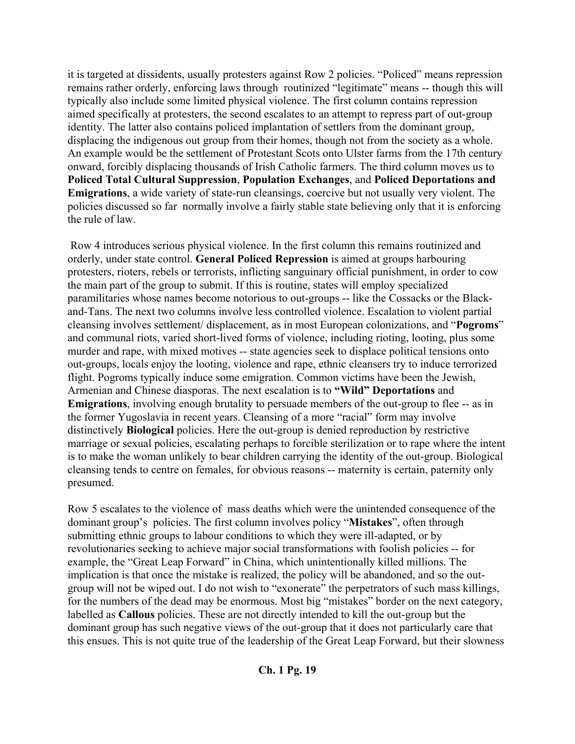it is targeted at dissidents, usually protesters against Row 2 policies. "Policed" means repression remains rather orderly, enforcing laws through routinized "legitimate" means -- though this will typically also include some limited physical violence. The first column contains repression aimed specifically at protesters, the second escalates to an attempt to repress part of out-group identity. The latter also contains policed implantation of settlers from the dominant group, displacing the indigenous out group from their homes, though not from the society as a whole. An example would be the settlement of Protestant Scots onto Ulster farms from the 17th century onward, forcibly displacing thousands of Irish Catholic farmers. The third column moves us to **Policed Total Cultural Suppression**, **Population Exchanges**, and **Policed Deportations and Emigrations**, a wide variety of state-run cleansings, coercive but not usually very violent. The policies discussed so far normally involve a fairly stable state believing only that it is enforcing the rule of law.

 Row 4 introduces serious physical violence. In the first column this remains routinized and orderly, under state control. **General Policed Repression** is aimed at groups harbouring protesters, rioters, rebels or terrorists, inflicting sanguinary official punishment, in order to cow the main part of the group to submit. If this is routine, states will employ specialized paramilitaries whose names become notorious to out-groups -- like the Cossacks or the Blackand-Tans. The next two columns involve less controlled violence. Escalation to violent partial cleansing involves settlement/ displacement, as in most European colonizations, and "**Pogroms**" and communal riots, varied short-lived forms of violence, including rioting, looting, plus some murder and rape, with mixed motives -- state agencies seek to displace political tensions onto out-groups, locals enjoy the looting, violence and rape, ethnic cleansers try to induce terrorized flight. Pogroms typically induce some emigration. Common victims have been the Jewish, Armenian and Chinese diasporas. The next escalation is to **"Wild" Deportations** and **Emigrations**, involving enough brutality to persuade members of the out-group to flee -- as in the former Yugoslavia in recent years. Cleansing of a more "racial" form may involve distinctively **Biological** policies. Here the out-group is denied reproduction by restrictive marriage or sexual policies, escalating perhaps to forcible sterilization or to rape where the intent is to make the woman unlikely to bear children carrying the identity of the out-group. Biological cleansing tends to centre on females, for obvious reasons -- maternity is certain, paternity only presumed.

Row 5 escalates to the violence of mass deaths which were the unintended consequence of the dominant group's policies. The first column involves policy "**Mistakes**", often through submitting ethnic groups to labour conditions to which they were ill-adapted, or by revolutionaries seeking to achieve major social transformations with foolish policies -- for example, the "Great Leap Forward" in China, which unintentionally killed millions. The implication is that once the mistake is realized, the policy will be abandoned, and so the outgroup will not be wiped out. I do not wish to "exonerate" the perpetrators of such mass killings, for the numbers of the dead may be enormous. Most big "mistakes" border on the next category, labelled as **Callous** policies. These are not directly intended to kill the out-group but the dominant group has such negative views of the out-group that it does not particularly care that this ensues. This is not quite true of the leadership of the Great Leap Forward, but their slowness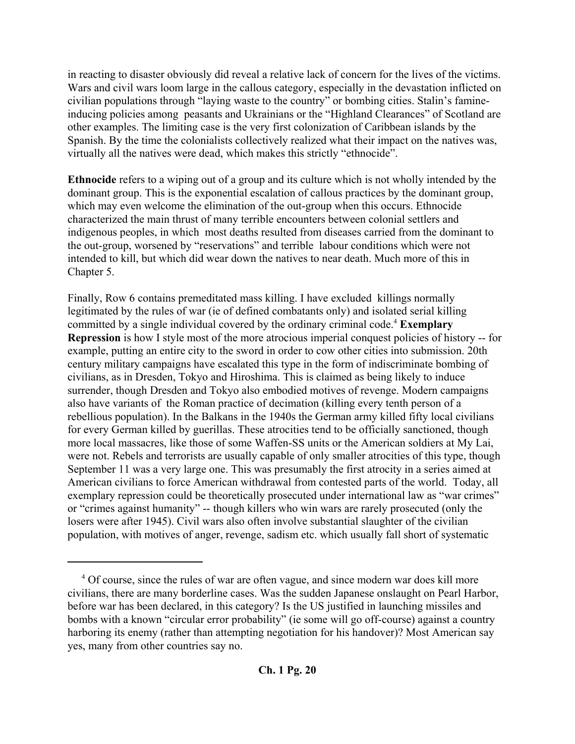in reacting to disaster obviously did reveal a relative lack of concern for the lives of the victims. Wars and civil wars loom large in the callous category, especially in the devastation inflicted on civilian populations through "laying waste to the country" or bombing cities. Stalin's famineinducing policies among peasants and Ukrainians or the "Highland Clearances" of Scotland are other examples. The limiting case is the very first colonization of Caribbean islands by the Spanish. By the time the colonialists collectively realized what their impact on the natives was, virtually all the natives were dead, which makes this strictly "ethnocide".

**Ethnocide** refers to a wiping out of a group and its culture which is not wholly intended by the dominant group. This is the exponential escalation of callous practices by the dominant group, which may even welcome the elimination of the out-group when this occurs. Ethnocide characterized the main thrust of many terrible encounters between colonial settlers and indigenous peoples, in which most deaths resulted from diseases carried from the dominant to the out-group, worsened by "reservations" and terrible labour conditions which were not intended to kill, but which did wear down the natives to near death. Much more of this in Chapter 5.

Finally, Row 6 contains premeditated mass killing. I have excluded killings normally legitimated by the rules of war (ie of defined combatants only) and isolated serial killing committed by a single individual covered by the ordinary criminal code.<sup>4</sup> Exemplary **Repression** is how I style most of the more atrocious imperial conquest policies of history -- for example, putting an entire city to the sword in order to cow other cities into submission. 20th century military campaigns have escalated this type in the form of indiscriminate bombing of civilians, as in Dresden, Tokyo and Hiroshima. This is claimed as being likely to induce surrender, though Dresden and Tokyo also embodied motives of revenge. Modern campaigns also have variants of the Roman practice of decimation (killing every tenth person of a rebellious population). In the Balkans in the 1940s the German army killed fifty local civilians for every German killed by guerillas. These atrocities tend to be officially sanctioned, though more local massacres, like those of some Waffen-SS units or the American soldiers at My Lai, were not. Rebels and terrorists are usually capable of only smaller atrocities of this type, though September 11 was a very large one. This was presumably the first atrocity in a series aimed at American civilians to force American withdrawal from contested parts of the world. Today, all exemplary repression could be theoretically prosecuted under international law as "war crimes" or "crimes against humanity" -- though killers who win wars are rarely prosecuted (only the losers were after 1945). Civil wars also often involve substantial slaughter of the civilian population, with motives of anger, revenge, sadism etc. which usually fall short of systematic

<sup>&</sup>lt;sup>4</sup> Of course, since the rules of war are often vague, and since modern war does kill more civilians, there are many borderline cases. Was the sudden Japanese onslaught on Pearl Harbor, before war has been declared, in this category? Is the US justified in launching missiles and bombs with a known "circular error probability" (ie some will go off-course) against a country harboring its enemy (rather than attempting negotiation for his handover)? Most American say yes, many from other countries say no.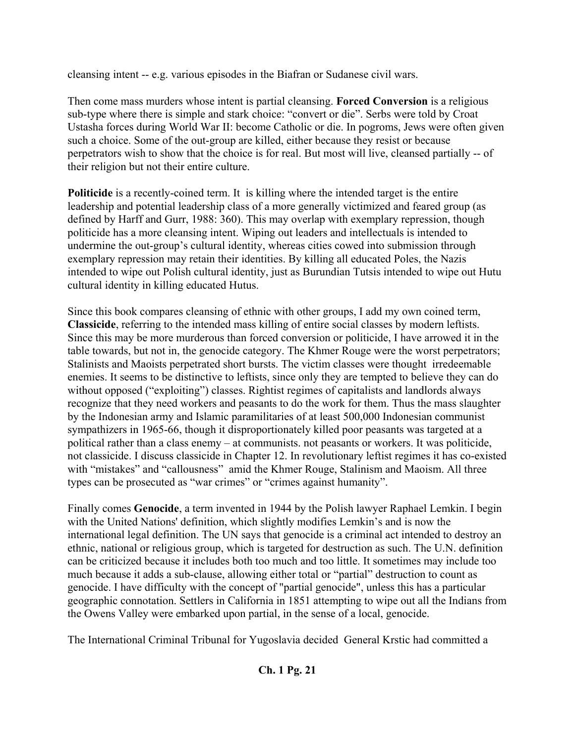cleansing intent -- e.g. various episodes in the Biafran or Sudanese civil wars.

Then come mass murders whose intent is partial cleansing. **Forced Conversion** is a religious sub-type where there is simple and stark choice: "convert or die". Serbs were told by Croat Ustasha forces during World War II: become Catholic or die. In pogroms, Jews were often given such a choice. Some of the out-group are killed, either because they resist or because perpetrators wish to show that the choice is for real. But most will live, cleansed partially -- of their religion but not their entire culture.

**Politicide** is a recently-coined term. It is killing where the intended target is the entire leadership and potential leadership class of a more generally victimized and feared group (as defined by Harff and Gurr, 1988: 360). This may overlap with exemplary repression, though politicide has a more cleansing intent. Wiping out leaders and intellectuals is intended to undermine the out-group's cultural identity, whereas cities cowed into submission through exemplary repression may retain their identities. By killing all educated Poles, the Nazis intended to wipe out Polish cultural identity, just as Burundian Tutsis intended to wipe out Hutu cultural identity in killing educated Hutus.

Since this book compares cleansing of ethnic with other groups, I add my own coined term, **Classicide**, referring to the intended mass killing of entire social classes by modern leftists. Since this may be more murderous than forced conversion or politicide, I have arrowed it in the table towards, but not in, the genocide category. The Khmer Rouge were the worst perpetrators; Stalinists and Maoists perpetrated short bursts. The victim classes were thought irredeemable enemies. It seems to be distinctive to leftists, since only they are tempted to believe they can do without opposed ("exploiting") classes. Rightist regimes of capitalists and landlords always recognize that they need workers and peasants to do the work for them. Thus the mass slaughter by the Indonesian army and Islamic paramilitaries of at least 500,000 Indonesian communist sympathizers in 1965-66, though it disproportionately killed poor peasants was targeted at a political rather than a class enemy – at communists. not peasants or workers. It was politicide, not classicide. I discuss classicide in Chapter 12. In revolutionary leftist regimes it has co-existed with "mistakes" and "callousness" amid the Khmer Rouge, Stalinism and Maoism. All three types can be prosecuted as "war crimes" or "crimes against humanity".

Finally comes **Genocide**, a term invented in 1944 by the Polish lawyer Raphael Lemkin. I begin with the United Nations' definition, which slightly modifies Lemkin's and is now the international legal definition. The UN says that genocide is a criminal act intended to destroy an ethnic, national or religious group, which is targeted for destruction as such. The U.N. definition can be criticized because it includes both too much and too little. It sometimes may include too much because it adds a sub-clause, allowing either total or "partial" destruction to count as genocide. I have difficulty with the concept of "partial genocide", unless this has a particular geographic connotation. Settlers in California in 1851 attempting to wipe out all the Indians from the Owens Valley were embarked upon partial, in the sense of a local, genocide.

The International Criminal Tribunal for Yugoslavia decided General Krstic had committed a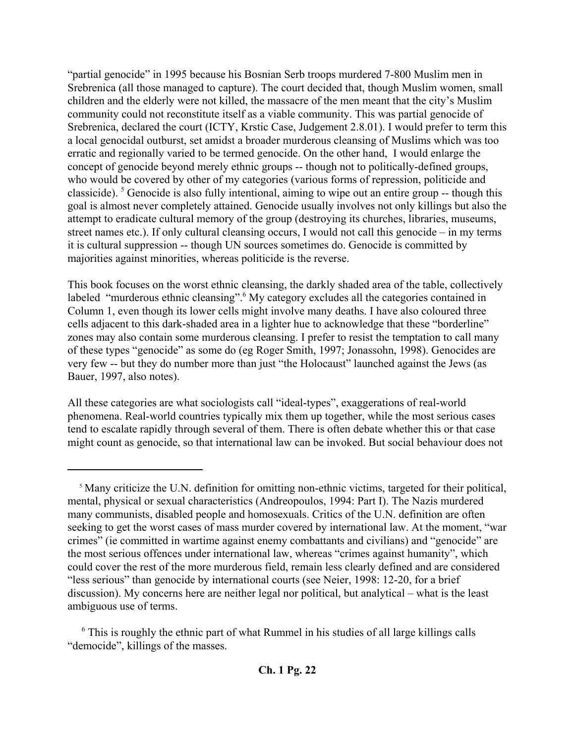"partial genocide" in 1995 because his Bosnian Serb troops murdered 7-800 Muslim men in Srebrenica (all those managed to capture). The court decided that, though Muslim women, small children and the elderly were not killed, the massacre of the men meant that the city's Muslim community could not reconstitute itself as a viable community. This was partial genocide of Srebrenica, declared the court (ICTY, Krstic Case, Judgement 2.8.01). I would prefer to term this a local genocidal outburst, set amidst a broader murderous cleansing of Muslims which was too erratic and regionally varied to be termed genocide. On the other hand, I would enlarge the concept of genocide beyond merely ethnic groups -- though not to politically-defined groups, who would be covered by other of my categories (various forms of repression, politicide and classicide). <sup>5</sup> Genocide is also fully intentional, aiming to wipe out an entire group -- though this goal is almost never completely attained. Genocide usually involves not only killings but also the attempt to eradicate cultural memory of the group (destroying its churches, libraries, museums, street names etc.). If only cultural cleansing occurs, I would not call this genocide – in my terms it is cultural suppression -- though UN sources sometimes do. Genocide is committed by majorities against minorities, whereas politicide is the reverse.

This book focuses on the worst ethnic cleansing, the darkly shaded area of the table, collectively labeled "murderous ethnic cleansing".<sup>6</sup> My category excludes all the categories contained in Column 1, even though its lower cells might involve many deaths. I have also coloured three cells adjacent to this dark-shaded area in a lighter hue to acknowledge that these "borderline" zones may also contain some murderous cleansing. I prefer to resist the temptation to call many of these types "genocide" as some do (eg Roger Smith, 1997; Jonassohn, 1998). Genocides are very few -- but they do number more than just "the Holocaust" launched against the Jews (as Bauer, 1997, also notes).

All these categories are what sociologists call "ideal-types", exaggerations of real-world phenomena. Real-world countries typically mix them up together, while the most serious cases tend to escalate rapidly through several of them. There is often debate whether this or that case might count as genocide, so that international law can be invoked. But social behaviour does not

<sup>&</sup>lt;sup>5</sup> Many criticize the U.N. definition for omitting non-ethnic victims, targeted for their political, mental, physical or sexual characteristics (Andreopoulos, 1994: Part I). The Nazis murdered many communists, disabled people and homosexuals. Critics of the U.N. definition are often seeking to get the worst cases of mass murder covered by international law. At the moment, "war crimes" (ie committed in wartime against enemy combattants and civilians) and "genocide" are the most serious offences under international law, whereas "crimes against humanity", which could cover the rest of the more murderous field, remain less clearly defined and are considered "less serious" than genocide by international courts (see Neier, 1998: 12-20, for a brief discussion). My concerns here are neither legal nor political, but analytical – what is the least ambiguous use of terms.

<sup>&</sup>lt;sup>6</sup> This is roughly the ethnic part of what Rummel in his studies of all large killings calls "democide", killings of the masses.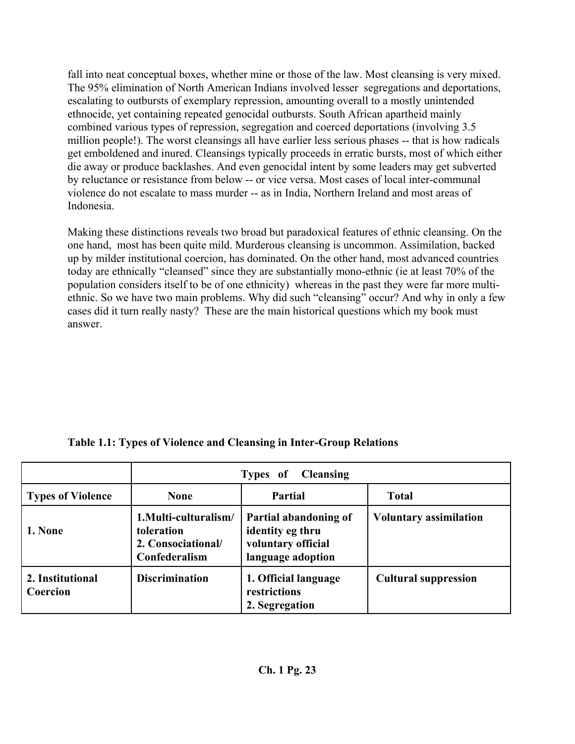fall into neat conceptual boxes, whether mine or those of the law. Most cleansing is very mixed. The 95% elimination of North American Indians involved lesser segregations and deportations, escalating to outbursts of exemplary repression, amounting overall to a mostly unintended ethnocide, yet containing repeated genocidal outbursts. South African apartheid mainly combined various types of repression, segregation and coerced deportations (involving 3.5 million people!). The worst cleansings all have earlier less serious phases -- that is how radicals get emboldened and inured. Cleansings typically proceeds in erratic bursts, most of which either die away or produce backlashes. And even genocidal intent by some leaders may get subverted by reluctance or resistance from below -- or vice versa. Most cases of local inter-communal violence do not escalate to mass murder -- as in India, Northern Ireland and most areas of Indonesia.

Making these distinctions reveals two broad but paradoxical features of ethnic cleansing. On the one hand, most has been quite mild. Murderous cleansing is uncommon. Assimilation, backed up by milder institutional coercion, has dominated. On the other hand, most advanced countries today are ethnically "cleansed" since they are substantially mono-ethnic (ie at least 70% of the population considers itself to be of one ethnicity) whereas in the past they were far more multiethnic. So we have two main problems. Why did such "cleansing" occur? And why in only a few cases did it turn really nasty? These are the main historical questions which my book must answer.

| Table 1.1: Types of Violence and Cleansing in Inter-Group Relations |  |  |
|---------------------------------------------------------------------|--|--|
|                                                                     |  |  |

|                              | <b>Cleansing</b><br>Types of                                              |                                                                                      |                               |  |
|------------------------------|---------------------------------------------------------------------------|--------------------------------------------------------------------------------------|-------------------------------|--|
| <b>Types of Violence</b>     | <b>None</b>                                                               | <b>Partial</b>                                                                       | <b>Total</b>                  |  |
| 1. None                      | 1.Multi-culturalism/<br>toleration<br>2. Consociational/<br>Confederalism | Partial abandoning of<br>identity eg thru<br>voluntary official<br>language adoption | <b>Voluntary assimilation</b> |  |
| 2. Institutional<br>Coercion | <b>Discrimination</b>                                                     | 1. Official language<br>restrictions<br>2. Segregation                               | <b>Cultural suppression</b>   |  |